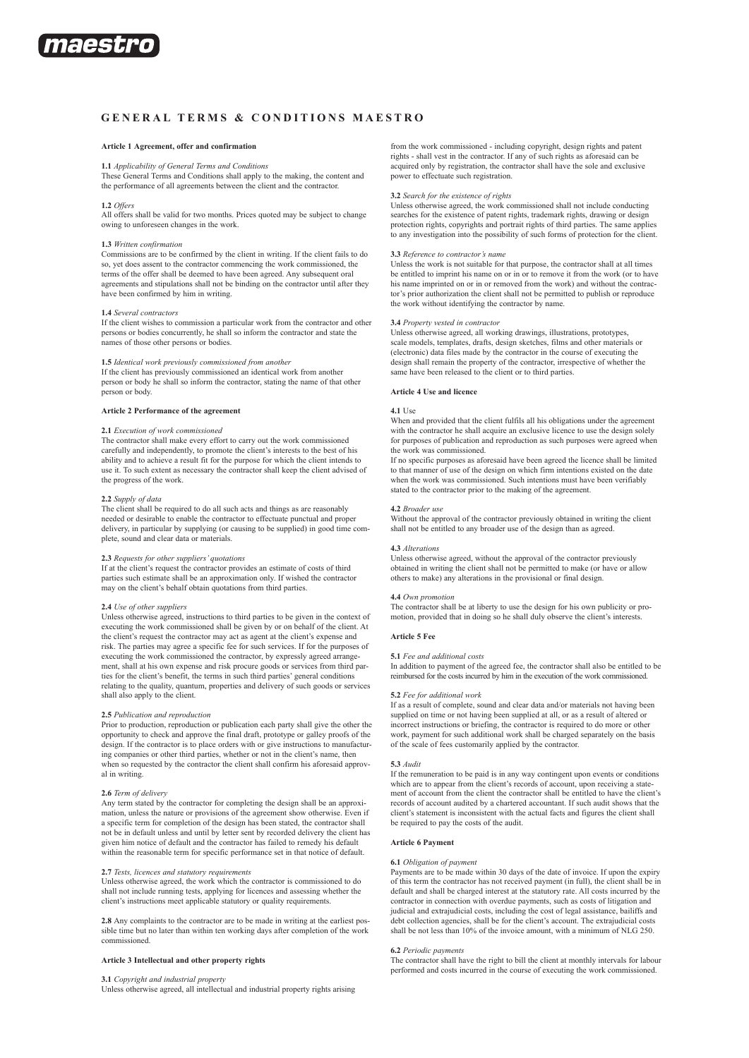

# **GENERAL TERMS & CONDITIONS M aestro**

#### **Article 1 Agreement, offer and confirmation**

# **1.1** *Applicability of General Terms and Conditions*

These General Terms and Conditions shall apply to the making, the content and the performance of all agreements between the client and the contractor.

#### **1.2** *Offers*

All offers shall be valid for two months. Prices quoted may be subject to change owing to unforeseen changes in the work.

#### **1.3** *Written confirmation*

Commissions are to be confirmed by the client in writing. If the client fails to do so, yet does assent to the contractor commencing the work commissioned, the terms of the offer shall be deemed to have been agreed. Any subsequent oral agreements and stipulations shall not be binding on the contractor until after they have been confirmed by him in writing.

## **1.4** *Several contractors*

If the client wishes to commission a particular work from the contractor and other persons or bodies concurrently, he shall so inform the contractor and state the names of those other persons or bodies.

## **1.5** *Identical work previously commissioned from another*

If the client has previously commissioned an identical work from another person or body he shall so inform the contractor, stating the name of that other person or body.

#### **Article 2 Performance of the agreement**

#### **2.1** *Execution of work commissioned*

The contractor shall make every effort to carry out the work commissioned carefully and independently, to promote the client's interests to the best of his ability and to achieve a result fit for the purpose for which the client intends to use it. To such extent as necessary the contractor shall keep the client advised of the progress of the work.

## **2.2** *Supply of data*

The client shall be required to do all such acts and things as are reasonably needed or desirable to enable the contractor to effectuate punctual and proper delivery, in particular by supplying (or causing to be supplied) in good time complete, sound and clear data or materials.

#### **2.3** *Requests for other suppliers' quotations*

If at the client's request the contractor provides an estimate of costs of third parties such estimate shall be an approximation only. If wished the contractor may on the client's behalf obtain quotations from third parties.

#### **2.4** *Use of other suppliers*

Unless otherwise agreed, instructions to third parties to be given in the context of executing the work commissioned shall be given by or on behalf of the client. At the client's request the contractor may act as agent at the client's expense and risk. The parties may agree a specific fee for such services. If for the purposes of executing the work commissioned the contractor, by expressly agreed arrangement, shall at his own expense and risk procure goods or services from third parties for the client's benefit, the terms in such third parties' general conditions relating to the quality, quantum, properties and delivery of such goods or services shall also apply to the client.

# **2.5** *Publication and reproduction*

Prior to production, reproduction or publication each party shall give the other the opportunity to check and approve the final draft, prototype or galley proofs of the design. If the contractor is to place orders with or give instructions to manufacturing companies or other third parties, whether or not in the client's name, then when so requested by the contractor the client shall confirm his aforesaid approval in writing.

## **2.6** *Term of delivery*

Any term stated by the contractor for completing the design shall be an approximation, unless the nature or provisions of the agreement show otherwise. Even if a specific term for completion of the design has been stated, the contractor shall not be in default unless and until by letter sent by recorded delivery the client has given him notice of default and the contractor has failed to remedy his default within the reasonable term for specific performance set in that notice of default.

#### **2.7** *Tests, licences and statutory requirements*

Unless otherwise agreed, the work which the contractor is commissioned to do shall not include running tests, applying for licences and assessing whether the client's instructions meet applicable statutory or quality requirements.

**2.8** Any complaints to the contractor are to be made in writing at the earliest possible time but no later than within ten working days after completion of the work commissioned.

## **Article 3 Intellectual and other property rights**

#### **3.1** *Copyright and industrial property*

Unless otherwise agreed, all intellectual and industrial property rights arising

from the work commissioned - including copyright, design rights and patent rights - shall vest in the contractor. If any of such rights as aforesaid can be acquired only by registration, the contractor shall have the sole and exclusive power to effectuate such registration.

#### **3.2** *Search for the existence of rights*

Unless otherwise agreed, the work commissioned shall not include conducting searches for the existence of patent rights, trademark rights, drawing or design protection rights, copyrights and portrait rights of third parties. The same applies to any investigation into the possibility of such forms of protection for the client.

#### **3.3** *Reference to contractor's name*

Unless the work is not suitable for that purpose, the contractor shall at all times be entitled to imprint his name on or in or to remove it from the work (or to have his name imprinted on or in or removed from the work) and without the contractor's prior authorization the client shall not be permitted to publish or reproduce the work without identifying the contractor by name.

## **3.4** *Property vested in contractor*

Unless otherwise agreed, all working drawings, illustrations, prototypes, scale models, templates, drafts, design sketches, films and other materials or (electronic) data files made by the contractor in the course of executing the design shall remain the property of the contractor, irrespective of whether the same have been released to the client or to third parties.

# **Article 4 Use and licence**

#### **4.1** Use

When and provided that the client fulfils all his obligations under the agreement with the contractor he shall acquire an exclusive licence to use the design solely for purposes of publication and reproduction as such purposes were agreed when the work was commissioned.

If no specific purposes as aforesaid have been agreed the licence shall be limited to that manner of use of the design on which firm intentions existed on the date when the work was commissioned. Such intentions must have been verifiably stated to the contractor prior to the making of the agreement.

#### **4.2** *Broader use*

Without the approval of the contractor previously obtained in writing the client shall not be entitled to any broader use of the design than as agreed.

#### **4.3** *Alterations*

Unless otherwise agreed, without the approval of the contractor previously obtained in writing the client shall not be permitted to make (or have or allow others to make) any alterations in the provisional or final design.

#### **4.4** *Own promotion*

The contractor shall be at liberty to use the design for his own publicity or promotion, provided that in doing so he shall duly observe the client's interests.

## **Article 5 Fee**

**5.1** *Fee and additional costs*

In addition to payment of the agreed fee, the contractor shall also be entitled to be reimbursed for the costs incurred by him in the execution of the work commissioned.

#### **5.2** *Fee for additional work*

If as a result of complete, sound and clear data and/or materials not having been supplied on time or not having been supplied at all, or as a result of altered or incorrect instructions or briefing, the contractor is required to do more or other work, payment for such additional work shall be charged separately on the basis of the scale of fees customarily applied by the contractor.

#### **5.3** *Audit*

If the remuneration to be paid is in any way contingent upon events or conditions which are to appear from the client's records of account, upon receiving a statement of account from the client the contractor shall be entitled to have the client's records of account audited by a chartered accountant. If such audit shows that the client's statement is inconsistent with the actual facts and figures the client shall be required to pay the costs of the audit.

#### **Article 6 Payment**

## **6.1** *Obligation of payment*

Payments are to be made within 30 days of the date of invoice. If upon the expiry of this term the contractor has not received payment (in full), the client shall be in default and shall be charged interest at the statutory rate. All costs incurred by the contractor in connection with overdue payments, such as costs of litigation and judicial and extrajudicial costs, including the cost of legal assistance, bailiffs and debt collection agencies, shall be for the client's account. The extrajudicial costs shall be not less than 10% of the invoice amount, with a minimum of NLG 250.

# **6.2** *Periodic payments*

The contractor shall have the right to bill the client at monthly intervals for labour performed and costs incurred in the course of executing the work commissioned.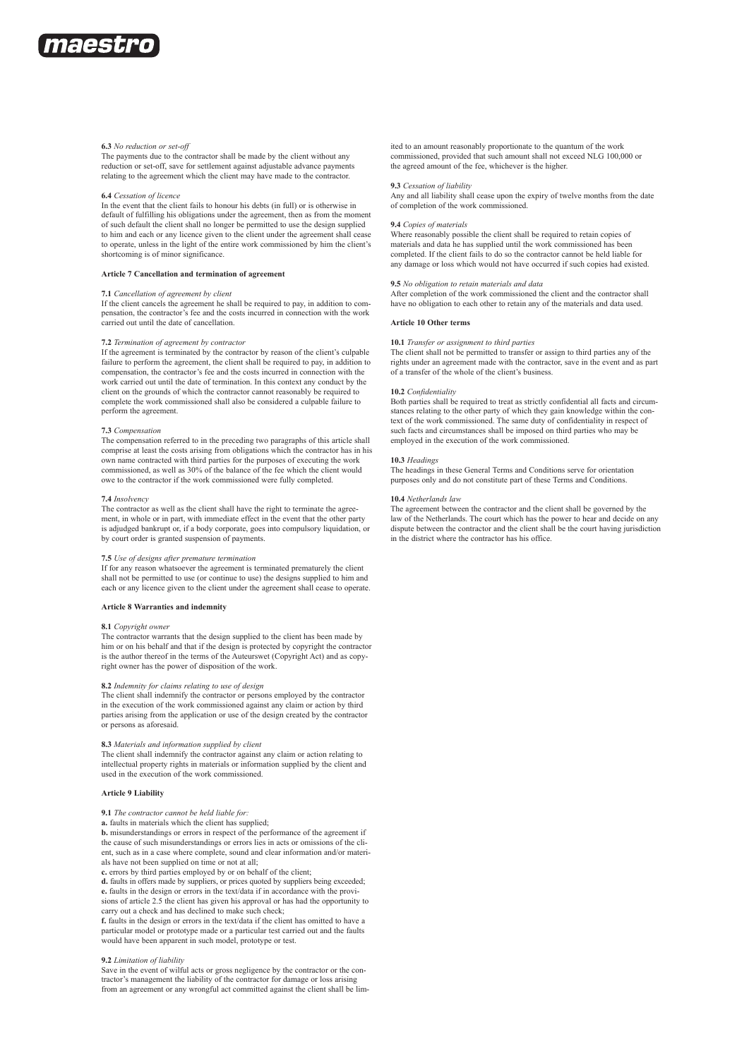

#### **6.3** *No reduction or set-off*

The payments due to the contractor shall be made by the client without any reduction or set-off, save for settlement against adjustable advance payments relating to the agreement which the client may have made to the contractor.

#### **6.4** *Cessation of licence*

In the event that the client fails to honour his debts (in full) or is otherwise in default of fulfilling his obligations under the agreement, then as from the moment of such default the client shall no longer be permitted to use the design supplied to him and each or any licence given to the client under the agreement shall cease to operate, unless in the light of the entire work commissioned by him the client's shortcoming is of minor significance.

#### **Article 7 Cancellation and termination of agreement**

#### **7.1** *Cancellation of agreement by client*

If the client cancels the agreement he shall be required to pay, in addition to compensation, the contractor's fee and the costs incurred in connection with the work carried out until the date of cancellation.

#### **7.2** *Termination of agreement by contractor*

If the agreement is terminated by the contractor by reason of the client's culpable failure to perform the agreement, the client shall be required to pay, in addition to compensation, the contractor's fee and the costs incurred in connection with the work carried out until the date of termination. In this context any conduct by the client on the grounds of which the contractor cannot reasonably be required to complete the work commissioned shall also be considered a culpable failure to perform the agreement.

#### **7.3** *Compensation*

The compensation referred to in the preceding two paragraphs of this article shall comprise at least the costs arising from obligations which the contractor has in his own name contracted with third parties for the purposes of executing the work commissioned, as well as 30% of the balance of the fee which the client would owe to the contractor if the work commissioned were fully completed.

## **7.4** *Insolvency*

The contractor as well as the client shall have the right to terminate the agreement, in whole or in part, with immediate effect in the event that the other party is adjudged bankrupt or, if a body corporate, goes into compulsory liquidation, or by court order is granted suspension of payments.

#### **7.5** *Use of designs after premature termination*

If for any reason whatsoever the agreement is terminated prematurely the client shall not be permitted to use (or continue to use) the designs supplied to him and each or any licence given to the client under the agreement shall cease to operate.

#### **Article 8 Warranties and indemnity**

#### **8.1** *Copyright owner*

The contractor warrants that the design supplied to the client has been made by him or on his behalf and that if the design is protected by copyright the contractor is the author thereof in the terms of the Auteurswet (Copyright Act) and as copyright owner has the power of disposition of the work.

#### **8.2** *Indemnity for claims relating to use of design*

The client shall indemnify the contractor or persons employed by the contractor in the execution of the work commissioned against any claim or action by third parties arising from the application or use of the design created by the contractor or persons as aforesaid.

#### **8.3** *Materials and information supplied by client*

The client shall indemnify the contractor against any claim or action relating to intellectual property rights in materials or information supplied by the client and used in the execution of the work commissioned.

#### **Article 9 Liability**

# **9.1** *The contractor cannot be held liable for:*

**a.** faults in materials which the client has supplied;

**b.** misunderstandings or errors in respect of the performance of the agreement if the cause of such misunderstandings or errors lies in acts or omissions of the client, such as in a case where complete, sound and clear information and/or materials have not been supplied on time or not at all;

**c.** errors by third parties employed by or on behalf of the client;

**d.** faults in offers made by suppliers, or prices quoted by suppliers being exceeded; **e.** faults in the design or errors in the text/data if in accordance with the provi-

sions of article 2.5 the client has given his approval or has had the opportunity to carry out a check and has declined to make such check;

**f.** faults in the design or errors in the text/data if the client has omitted to have a particular model or prototype made or a particular test carried out and the faults would have been apparent in such model, prototype or test.

#### **9.2** *Limitation of liability*

Save in the event of wilful acts or gross negligence by the contractor or the contractor's management the liability of the contractor for damage or loss arising from an agreement or any wrongful act committed against the client shall be limited to an amount reasonably proportionate to the quantum of the work commissioned, provided that such amount shall not exceed NLG 100,000 or the agreed amount of the fee, whichever is the higher.

#### **9.3** *Cessation of liability*

Any and all liability shall cease upon the expiry of twelve months from the date of completion of the work commissioned.

## **9.4** *Copies of materials*

Where reasonably possible the client shall be required to retain copies of materials and data he has supplied until the work commissioned has been completed. If the client fails to do so the contractor cannot be held liable for any damage or loss which would not have occurred if such copies had existed.

#### **9.5** *No obligation to retain materials and data*

After completion of the work commissioned the client and the contractor shall have no obligation to each other to retain any of the materials and data used.

#### **Article 10 Other terms**

#### **10.1** *Transfer or assignment to third parties*

The client shall not be permitted to transfer or assign to third parties any of the rights under an agreement made with the contractor, save in the event and as part of a transfer of the whole of the client's business.

#### **10.2** *Confidentiality*

Both parties shall be required to treat as strictly confidential all facts and circumstances relating to the other party of which they gain knowledge within the context of the work commissioned. The same duty of confidentiality in respect of such facts and circumstances shall be imposed on third parties who may be employed in the execution of the work commissioned.

#### **10.3** *Headings*

The headings in these General Terms and Conditions serve for orientation purposes only and do not constitute part of these Terms and Conditions.

#### **10.4** *Netherlands law*

The agreement between the contractor and the client shall be governed by the law of the Netherlands. The court which has the power to hear and decide on any dispute between the contractor and the client shall be the court having jurisdiction in the district where the contractor has his office.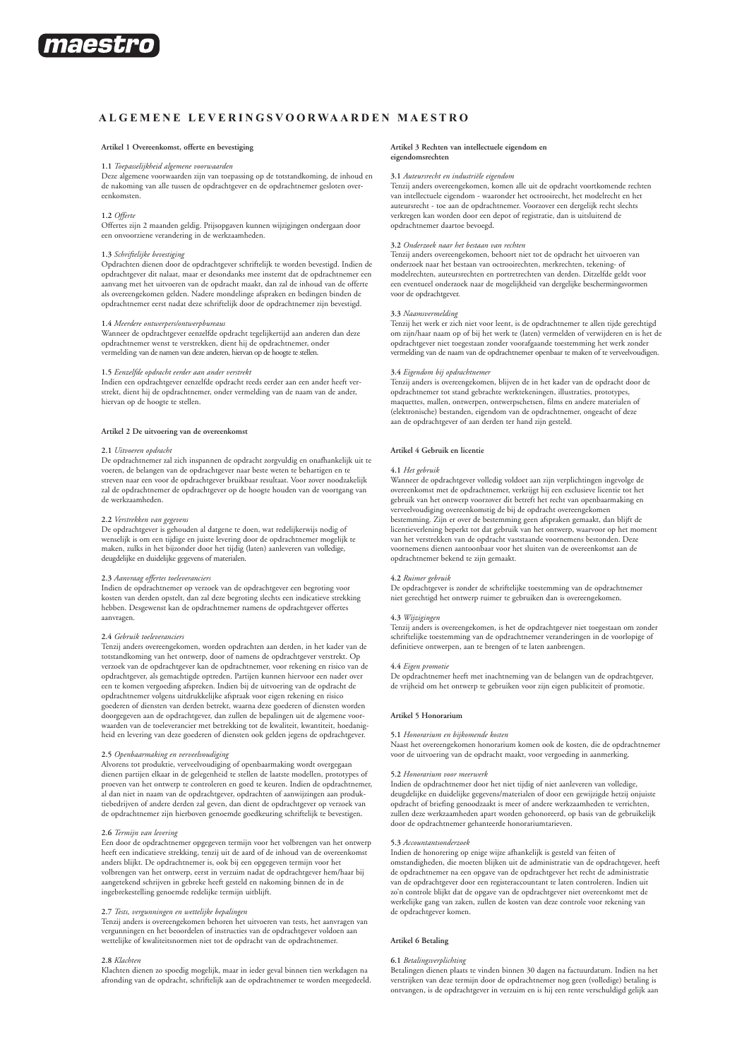

# **A lgemene L e v erings v oorwaarden M aestro**

## **Artikel 1 Overeenkomst, offerte en bevestiging**

# **1.1** *Toepasselijkheid algemene voorwaarden*

Deze algemene voorwaarden zijn van toepassing op de totstandkoming, de inhoud en de nakoming van alle tussen de opdrachtgever en de opdrachtnemer gesloten overeenkomsten.

## **1.2** *Offerte*

Offertes zijn 2 maanden geldig. Prijsopgaven kunnen wijzigingen ondergaan door een onvoorziene verandering in de werkzaamheden.

#### **1.3** *Schriftelijke bevestiging*

Opdrachten dienen door de opdrachtgever schriftelijk te worden bevestigd. Indien de opdrachtgever dit nalaat, maar er desondanks mee instemt dat de opdrachtnemer een aanvang met het uitvoeren van de opdracht maakt, dan zal de inhoud van de offerte als overeengekomen gelden. Nadere mondelinge afspraken en bedingen binden de opdrachtnemer eerst nadat deze schriftelijk door de opdrachtnemer zijn bevestigd.

**1.4** *Meerdere ontwerpers/ontwerpbureaus* Wanneer de opdrachtgever eenzelfde opdracht tegelijkertijd aan anderen dan deze opdrachtnemer wenst te verstrekken, dient hij de opdrachtnemer, onder vermelding van de namen van deze anderen, hiervan op de hoogte te stellen.

#### **1.5** *Eenzelfde opdracht eerder aan ander verstrekt*

Indien een opdrachtgever eenzelfde opdracht reeds eerder aan een ander heeft ver-strekt, dient hij de opdrachtnemer, onder vermelding van de naam van de ander, hiervan op de hoogte te stellen.

# **Artikel 2 De uitvoering van de overeenkomst**

#### **2.1** *Uitvoeren opdracht*

De opdrachtnemer zal zich inspannen de opdracht zorgvuldig en onafhankelijk uit te voeren, de belangen van de opdrachtgever naar beste weten te behartigen en te streven naar een voor de opdrachtgever bruikbaar resultaat. Voor zover noodzakelijk zal de opdrachtnemer de opdrachtgever op de hoogte houden van de voortgang van de werkzaamheden.

# **2.2** *Verstrekken van gegevens*

De opdrachtgever is gehouden al datgene te doen, wat redelijkerwijs nodig of wenselijk is om een tijdige en juiste levering door de opdrachtnemer mogelijk te maken, zulks in het bijzonder door het tijdig (laten) aanleveren van volledige, deugdelijke en duidelijke gegevens of materialen.

#### **2.3** *Aanvraag offertes toeleveranciers*

Indien de opdrachtnemer op verzoek van de opdrachtgever een begroting voor kosten van derden opstelt, dan zal deze begroting slechts een indicatieve strekking hebben. Desgewenst kan de opdrachtnemer namens de opdrachtgever offertes aanvragen.

#### **2.4** *Gebruik toeleveranciers*

Tenzij anders overeengekomen, worden opdrachten aan derden, in het kader van de totstandkoming van het ontwerp, door of namens de opdrachtgever verstrekt. Op verzoek van de opdrachtgever kan de opdrachtnemer, voor rekening en risico van de opdrachtgever, als gemachtigde optreden. Partijen kunnen hiervoor een nader over een te komen vergoeding afspreken. Indien bij de uitvoering van de opdracht de opdrachtnemer volgens uitdrukkelijke afspraak voor eigen rekening en risico goederen of diensten van derden betrekt, waarna deze goederen of diensten worden doorgegeven aan de opdrachtgever, dan zullen de bepalingen uit de algemene voorwaarden van de toeleverancier met betrekking tot de kwaliteit, kwantiteit, hoedanigheid en levering van deze goederen of diensten ook gelden jegens de opdrachtgever.

# **2.5** *Openbaarmaking en verveelvoudiging*

Alvorens tot produktie, verveelvoudiging of openbaarmaking wordt overgegaan dienen partijen elkaar in de gelegenheid te stellen de laatste modellen, prototypes of proeven van het ontwerp te controleren en goed te keuren. Indien de opdrachtnemer, al dan niet in naam van de opdrachtgever, opdrachten of aanwijzingen aan produktiebedrijven of andere derden zal geven, dan dient de opdrachtgever op verzoek van de opdrachtnemer zijn hierboven genoemde goedkeuring schriftelijk te bevestigen.

## **2.6** *Termijn van levering*

Een door de opdrachtnemer opgegeven termijn voor het volbrengen van het ontwerp heeft een indicatieve strekking, tenzij uit de aard of de inhoud van de overeenkomst anders blijkt. De opdrachtnemer is, ook bij een opgegeven termijn voor het volbrengen van het ontwerp, eerst in verzuim nadat de opdrachtgever hem/haar bij aangetekend schrijven in gebreke heeft gesteld en nakoming binnen de in de ingebrekestelling genoemde redelijke termijn uitblijft.

#### **2.7** *Tests, vergunningen en wettelijke bepalingen*

Tenzij anders is overeengekomen behoren het uitvoeren van tests, het aanvragen van vergunningen en het beoordelen of instructies van de opdrachtgever voldoen aan wettelijke of kwaliteitsnormen niet tot de opdracht van de opdrachtnemer.

# **2.8** *Klachten*

Klachten dienen zo spoedig mogelijk, maar in ieder geval binnen tien werkdagen na afronding van de opdracht, schriftelijk aan de opdrachtnemer te worden meegedeeld.

#### **Artikel 3 Rechten van intellectuele eigendom en eigendomsrechten**

#### **3.1** *Auteursrecht en industriële eigendom*

Tenzij anders overeengekomen, komen alle uit de opdracht voortkomende rechten van intellectuele eigendom - waaronder het octrooirecht, het modelrecht en het auteursrecht - toe aan de opdrachtnemer. Voorzover een dergelijk recht slechts verkregen kan worden door een depot of registratie, dan is uitsluitend de opdrachtnemer daartoe bevoegd.

## **3.2** *Onderzoek naar het bestaan van rechten*

Tenzij anders overeengekomen, behoort niet tot de opdracht het uitvoeren van onderzoek naar het bestaan van octrooirechten, merkrechten, tekening- of modelrechten, auteursrechten en portretrechten van derden. Ditzelfde geldt voor een eventueel onderzoek naar de mogelijkheid van dergelijke beschermingsvormen voor de opdrachtgever.

# **3.3** *Naamsvermelding*

Tenzij het werk er zich niet voor leent, is de opdrachtnemer te allen tijde gerechtigd om zijn/haar naam op of bij het werk te (laten) vermelden of verwijderen en is het de opdrachtgever niet toegestaan zonder voorafgaande toestemming het werk zonder ermelding van de naam van de opdrachtnemer openbaar te maken of te verveelvoudigen.

#### **3.4** *Eigendom bij opdrachtnemer*

Tenzij anders is overeengekomen, blijven de in het kader van de opdracht door de<br>opdrachtnemer tot stand gebrachte werktekeningen, illustraties, prototypes,<br>maquettes, mallen, ontwerpen, ontwerpschetsen, films en andere ma (elektronische) bestanden, eigendom van de opdrachtnemer, ongeacht of deze aan de opdrachtgever of aan derden ter hand zijn gesteld.

#### **Artikel 4 Gebruik en licentie**

#### **4.1** *Het gebruik*

Wanneer de opdrachtgever volledig voldoet aan zijn verplichtingen ingevolge de overeenkomst met de opdrachtnemer, verkrijgt hij een exclusieve licentie tot het gebruik van het ontwerp voorzover dit betreft het recht van openbaarmaking en verveelvoudiging overeenkomstig de bij de opdracht overeengekomen bestemming. Zijn er over de bestemming geen afspraken gemaakt, dan blijft de licentieverlening beperkt tot dat gebruik van het ontwerp, waarvoor op het moment van het verstrekken van de opdracht vaststaande voornemens bestonden. Deze voornemens dienen aantoonbaar voor het sluiten van de overeenkomst aan de opdrachtnemer bekend te zijn gemaakt.

#### **4.2** *Ruimer gebruik*

De opdrachtgever is zonder de schriftelijke toestemming van de opdrachtnemer niet gerechtigd het ontwerp ruimer te gebruiken dan is overeengekomen.

# **4.3** *Wijzigingen*

Tenzij anders is overeengekomen, is het de opdrachtgever niet toegestaan om zonder schriftelijke toestemming van de opdrachtnemer veranderingen in de voorlopige of definitieve ontwerpen, aan te brengen of te laten aanbrengen.

#### **4.4** *Eigen promotie*

De opdrachtnemer heeft met inachtneming van de belangen van de opdrachtgever, de vrijheid om het ontwerp te gebruiken voor zijn eigen publiciteit of promotie.

#### **Artikel 5 Honorarium**

#### **5.1** *Honorarium en bijkomende kosten*

Naast het overeengekomen honorarium komen ook de kosten, die de opdrachtnemer voor de uitvoering van de opdracht maakt, voor vergoeding in aanmerking.

## **5.2** *Honorarium voor meerwerk*

Indien de opdrachtnemer door het niet tijdig of niet aanleveren van volledige, deugdelijke en duidelijke gegevens/materialen of door een gewijzigde hetzij onjuiste opdracht of briefing genoodzaakt is meer of andere werkzaamheden te verrichten, zullen deze werkzaamheden apart worden gehonoreerd, op basis van de gebruikelijk door de opdrachtnemer gehanteerde honorariumtarieven.

## **5.3** *Accountantsonderzoek*

Indien de honorering op enige wijze afhankelijk is gesteld van feiten of omstandigheden, die moeten blijken uit de administratie van de opdrachtgever, heeft de opdrachtnemer na een opgave van de opdrachtgever het recht de administratie van de opdrachtgever door een registeraccountant te laten controleren. Indien uit zo'n controle blijkt dat de opgave van de opdrachtgever niet overeenkomt met de werkelijke gang van zaken, zullen de kosten van deze controle voor rekening van de opdrachtgever komen.

## **Artikel 6 Betaling**

## **6.1** *Betalingsverplichting*

Betalingen dienen plaats te vinden binnen 30 dagen na factuurdatum. Indien na het verstrijken van deze termijn door de opdrachtnemer nog geen (volledige) betaling is ontvangen, is de opdrachtgever in verzuim en is hij een rente verschuldigd gelijk aan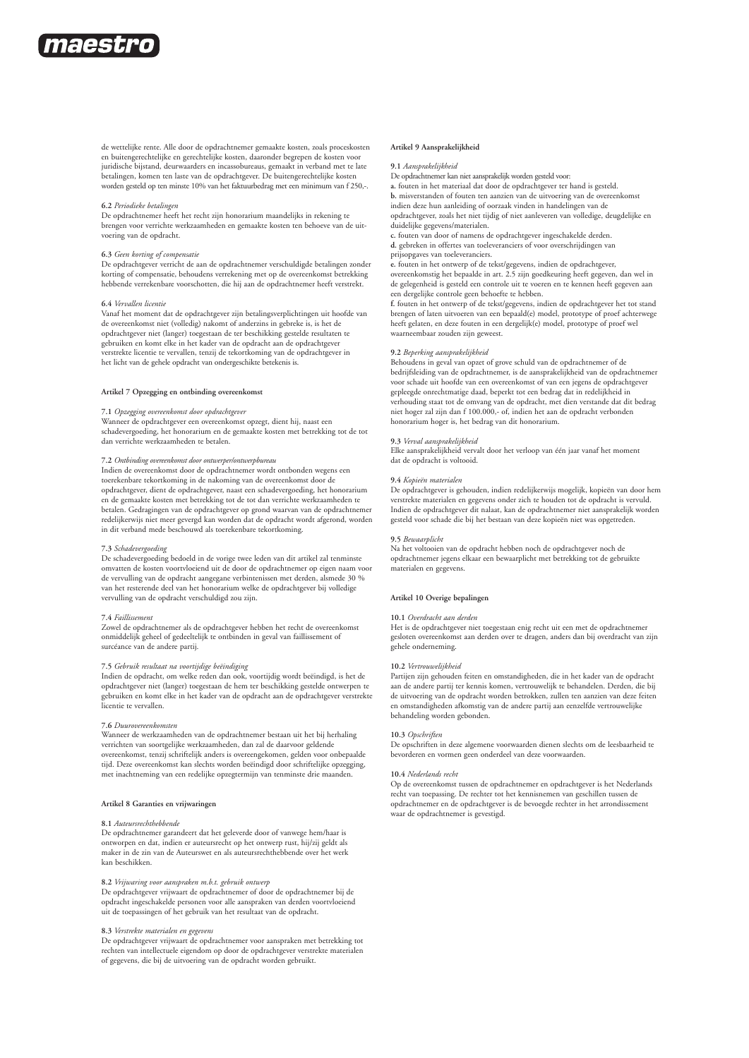

de wettelijke rente. Alle door de opdrachtnemer gemaakte kosten, zoals proceskosten en buitengerechtelijke en gerechtelijke kosten, daaronder begrepen de kosten voor juridische bijstand, deurwaarders en incassobureaus, gemaakt in verband met te late betalingen, komen ten laste van de opdrachtgever. De buitengerechtelijke kosten worden gesteld op ten minste 10% van het faktuurbedrag met een minimum van f 250,-.

#### **6.2** *Periodieke betalingen*

De opdrachtnemer heeft het recht zijn honorarium maandelijks in rekening te brengen voor verrichte werkzaamheden en gemaakte kosten ten behoeve van de uitvoering van de opdracht.

#### **6.3** *Geen korting of compensatie*

De opdrachtgever verricht de aan de opdrachtnemer verschuldigde betalingen zonder korting of compensatie, behoudens verrekening met op de overeenkomst betrekking hebbende verrekenbare voorschotten, die hij aan de opdrachtnemer heeft verstrekt.

#### **6.4** *Vervallen licentie*

Vanaf het moment dat de opdrachtgever zijn betalingsverplichtingen uit hoofde van de overeenkomst niet (volledig) nakomt of anderzins in gebreke is, is het de<br>opdrachtgever niet (langer) toegestaan de ter beschikking gestelde resultaten te<br>gebruiken en komt elke in het kader van de opdracht aan de opdra verstrekte licentie te vervallen, tenzij de tekortkoming van de opdrachtgever in het licht van de gehele opdracht van ondergeschikte betekenis is.

# **Artikel 7 Opzegging en ontbinding overeenkomst**

# **7.1** *Opzegging overeenkomst door opdrachtgever*

Wanneer de opdrachtgever een overeenkomst opzegt, dient hij, naast een schadevergoeding, het honorarium en de gemaakte kosten met betrekking tot de tot dan verrichte werkzaamheden te betalen.

# **7.2** *Ontbinding overeenkomst door ontwerper/ontwerpbureau*

Indien de overeenkomst door de opdrachtnemer wordt ontbonden wegens een toerekenbare tekortkoming in de nakoming van de overeenkomst door de opdrachtgever, dient de opdrachtgever, naast een schadevergoeding, het honorarium en de gemaakte kosten met betrekking tot de tot dan verrichte werkzaamheden te betalen. Gedragingen van de opdrachtgever op grond waarvan van de opdrachtnemer redelijkerwijs niet meer gevergd kan worden dat de opdracht wordt afgerond, worden in dit verband mede beschouwd als toerekenbare tekortkoming.

#### **7.3** *Schadevergoeding*

De schadevergoeding bedoeld in de vorige twee leden van dit artikel zal tenminste omvatten de kosten voortvloeiend uit de door de opdrachtnemer op eigen naam voor de vervulling van de opdracht aangegane verbintenissen met derden, alsmede 30 % van het resterende deel van het honorarium welke de opdrachtgever bij volledige vervulling van de opdracht verschuldigd zou zijn.

## **7.4** *Faillissement*

Zowel de opdrachtnemer als de opdrachtgever hebben het recht de overeenkomst onmiddelijk geheel of gedeeltelijk te ontbinden in geval van faillissement of surcéance van de andere partij.

## **7.5** *Gebruik resultaat na voortijdige beëindiging*

Indien de opdracht, om welke reden dan ook, voortijdig wordt beëindigd, is het de opdrachtgever niet (langer) toegestaan de hem ter beschikking gestelde ontwerpen te gebruiken en komt elke in het kader van de opdracht aan de opdrachtgever verstrekte licentie te vervallen.

## **7.6** *Duurovereenkomsten*

Wanneer de werkzaamheden van de opdrachtnemer bestaan uit het bij herhaling verrichten van soortgelijke werkzaamheden, dan zal de daarvoor geldende overeenkomst, tenzij schriftelijk anders is overeengekomen, gelden voor onbepaalde tijd. Deze overeenkomst kan slechts worden beëindigd door schriftelijke opzegging, met inachtneming van een redelijke opzegtermijn van tenminste drie maanden.

#### **Artikel 8 Garanties en vrijwaringen**

#### **8.1** *Auteursrechthebbende*

De opdrachtnemer garandeert dat het geleverde door of vanwege hem/haar is ontworpen en dat, indien er auteursrecht op het ontwerp rust, hij/zij geldt als maker in de zin van de Auteurswet en als auteursrechthebbende over het werk kan beschikken.

#### **8.2** *Vrijwaring voor aanspraken m.b.t. gebruik ontwerp*

De opdrachtgever vrijwaart de opdrachtnemer of door de opdrachtnemer bij de opdracht ingeschakelde personen voor alle aanspraken van derden voortvloeiend uit de toepassingen of het gebruik van het resultaat van de opdracht.

## **8.3** *Verstrekte materialen en gegevens*

De opdrachtgever vrijwaart de opdrachtnemer voor aanspraken met betrekking tot rechten van intellectuele eigendom op door de opdrachtgever verstrekte materialen of gegevens, die bij de uitvoering van de opdracht worden gebruikt.

#### **Artikel 9 Aansprakelijkheid**

**9.1** *Aansprakelijkheid*

De opdrachtnemer kan niet aansprakelijk worden gesteld voor:

**a.** fouten in het materiaal dat door de opdrachtgever ter hand is gesteld. **b.** misverstanden of fouten ten aanzien van de uitvoering van de overeenkomst

indien deze hun aanleiding of oorzaak vinden in handelingen van de opdrachtgever, zoals het niet tijdig of niet aanleveren van volledige, deugdelijke en duidelijke gegevens/materialen.

**c.** fouten van door of namens de opdrachtgever ingeschakelde derden.

**d.** gebreken in offertes van toeleveranciers of voor overschrijdingen van

prijsopgaves van toeleveranciers.

**e.** fouten in het ontwerp of de tekst/gegevens, indien de opdrachtgever, overeenkomstig het bepaalde in art. 2.5 zijn goedkeuring heeft gegeven, dan wel in de gelegenheid is gesteld een controle uit te voeren en te kennen heeft gegeven aan een dergelijke controle geen behoefte te hebben.

**f.** fouten in het ontwerp of de tekst/gegevens, indien de opdrachtgever het tot stand brengen of laten uitvoeren van een bepaald(e) model, prototype of proef achterwege heeft gelaten, en deze fouten in een dergelijk(e) model, prototype of proef wel waarneembaar zouden zijn geweest.

## **9.2** *Beperking aansprakelijkheid*

Behoudens in geval van opzet of grove schuld van de opdrachtnemer of de bedrijfsleiding van de opdrachtnemer, is de aansprakelijkheid van de opdrachtnemer voor schade uit hoofde van een overeenkomst of van een jegens de opdrachtgever gepleegde onrechtmatige daad, beperkt tot een bedrag dat in redelijkheid in verhouding staat tot de omvang van de opdracht, met dien verstande dat dit bedrag niet hoger zal zijn dan f 100.000,- of, indien het aan de opdracht verbonden honorarium hoger is, het bedrag van dit honorarium.

#### **9.3** *Verval aansprakelijkheid*

Elke aansprakelijkheid vervalt door het verloop van één jaar vanaf het moment dat de opdracht is voltooid.

#### **9.4** *Kopieën materialen*

De opdrachtgever is gehouden, indien redelijkerwijs mogelijk, kopieën van door hem verstrekte materialen en gegevens onder zich te houden tot de opdracht is vervuld. Indien de opdrachtgever dit nalaat, kan de opdrachtnemer niet aansprakelijk worden gesteld voor schade die bij het bestaan van deze kopieën niet was opgetreden.

#### **9.5** *Bewaarplicht*

Na het voltooien van de opdracht hebben noch de opdrachtgever noch de opdrachtnemer jegens elkaar een bewaarplicht met betrekking tot de gebruikte materialen en gegevens.

#### **Artikel 10 Overige bepalingen**

## **10.1** *Overdracht aan derden*

Het is de opdrachtgever niet toegestaan enig recht uit een met de opdrachtnemer gesloten overeenkomst aan derden over te dragen, anders dan bij overdracht van zijn gehele onderneming.

## **10.2** *Vertrouwelijkheid*

Partijen zijn gehouden feiten en omstandigheden, die in het kader van de opdracht aan de andere partij ter kennis komen, vertrouwelijk te behandelen. Derden, die bij de uitvoering van de opdracht worden betrokken, zullen ten aanzien van deze feiten en omstandigheden afkomstig van de andere partij aan eenzelfde vertrouwelijke behandeling worden gebonden.

## **10.3** *Opschriften*

De opschriften in deze algemene voorwaarden dienen slechts om de leesbaarheid te bevorderen en vormen geen onderdeel van deze voorwaarden.

#### **10.4** *Nederlands recht*

Op de overeenkomst tussen de opdrachtnemer en opdrachtgever is het Nederlands recht van toepassing. De rechter tot het kennisnemen van geschillen tussen de opdrachtnemer en de opdrachtgever is de bevoegde rechter in het arrondissement waar de opdrachtnemer is gevestigd.